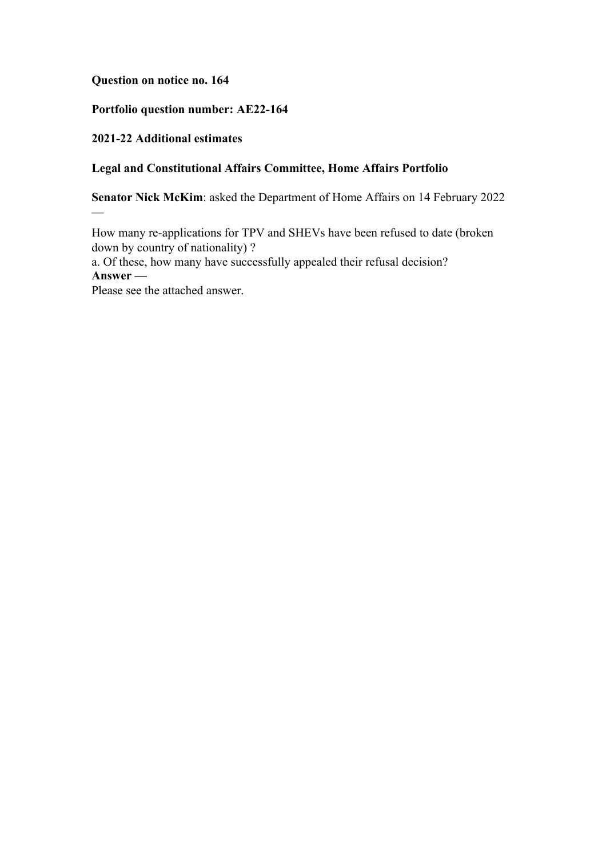**Question on notice no. 164**

### **Portfolio question number: AE22-164**

# **2021-22 Additional estimates**

—

# **Legal and Constitutional Affairs Committee, Home Affairs Portfolio**

**Senator Nick McKim**: asked the Department of Home Affairs on 14 February 2022

How many re-applications for TPV and SHEVs have been refused to date (broken down by country of nationality) ?

a. Of these, how many have successfully appealed their refusal decision? **Answer —**

Please see the attached answer.